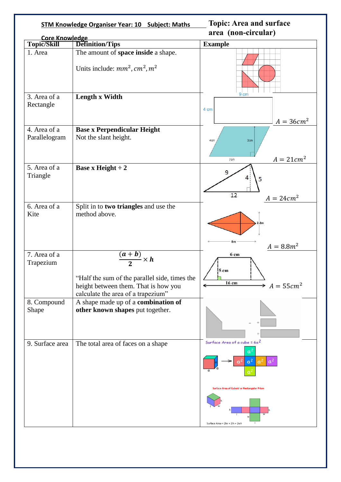| <b>STM Knowledge Organiser Year: 10 Subject: Maths</b> |                                                                                                                                                           | <b>Topic: Area and surface</b><br>area (non-circular)                                                                                   |  |
|--------------------------------------------------------|-----------------------------------------------------------------------------------------------------------------------------------------------------------|-----------------------------------------------------------------------------------------------------------------------------------------|--|
| Core Knowledge                                         |                                                                                                                                                           |                                                                                                                                         |  |
| Topic/Skill                                            | <b>Definition/Tips</b>                                                                                                                                    | <b>Example</b>                                                                                                                          |  |
| 1. Area                                                | The amount of space inside a shape.<br>Units include: $mm^2$ , $cm^2$ , $m^2$                                                                             |                                                                                                                                         |  |
| 3. Area of a<br>Rectangle                              | Length x Width                                                                                                                                            | 9 <sub>cm</sub><br>4 cm<br>$A = 36cm^2$                                                                                                 |  |
| 4. Area of a<br>Parallelogram                          | <b>Base x Perpendicular Height</b><br>Not the slant height.                                                                                               | 3cm<br>4cm<br>$A = 21cm2$<br>7cm                                                                                                        |  |
| 5. Area of a<br>Triangle                               | <b>Base x Height <math>\div 2</math></b>                                                                                                                  | 9<br>Δ<br>5<br>12<br>$A = 24cm^2$                                                                                                       |  |
| 6. Area of a                                           | Split in to two triangles and use the                                                                                                                     |                                                                                                                                         |  |
| Kite                                                   | method above.                                                                                                                                             | 2.2 <sub>m</sub><br>8m<br>$A = 8.8m^2$                                                                                                  |  |
| 7. Area of a<br>Trapezium                              | $\frac{(a+b)}{2} \times h$<br>"Half the sum of the parallel side, times the<br>height between them. That is how you<br>calculate the area of a trapezium" | 6 cm<br>5 cm<br>16 cm<br>$A = 55cm^2$                                                                                                   |  |
| 8. Compound<br>Shape                                   | A shape made up of a combination of<br>other known shapes put together.                                                                                   |                                                                                                                                         |  |
| 9. Surface area                                        | The total area of faces on a shape                                                                                                                        | Surface Area of a cube = $6a^2$<br>a<br>a <sup>2</sup><br>a <sup>2</sup><br>$a^2$<br><b>Surface Area of Cuboid or Rectangular Prism</b> |  |
|                                                        |                                                                                                                                                           | Surface Area = 2lw + 2lh + 2wh                                                                                                          |  |